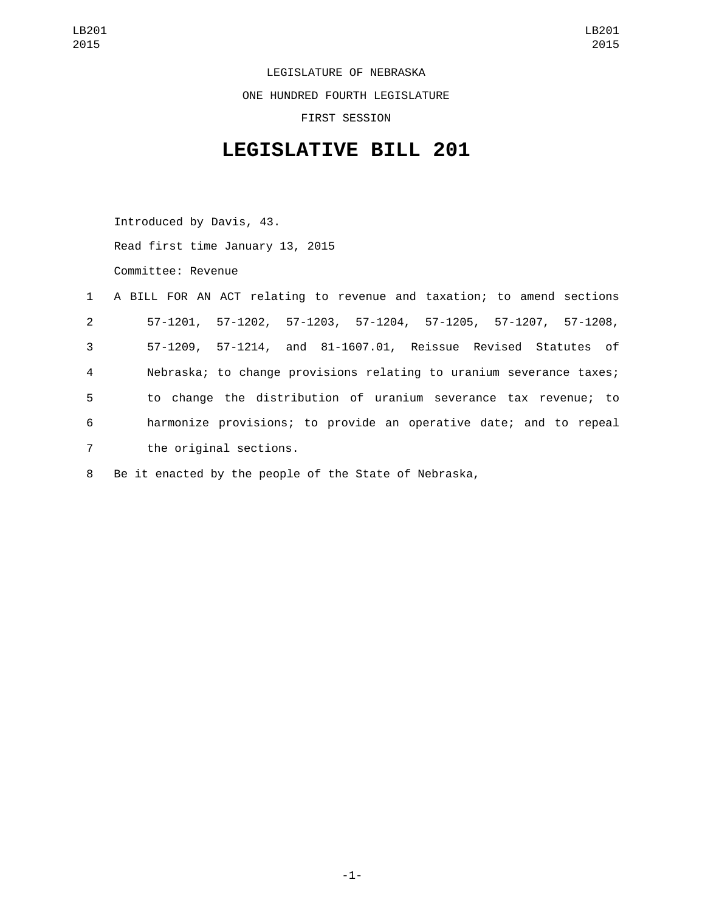LEGISLATURE OF NEBRASKA ONE HUNDRED FOURTH LEGISLATURE FIRST SESSION

## **LEGISLATIVE BILL 201**

Introduced by Davis, 43. Read first time January 13, 2015 Committee: Revenue

|                | 1 A BILL FOR AN ACT relating to revenue and taxation; to amend sections |
|----------------|-------------------------------------------------------------------------|
| $2^{\circ}$    | 57-1201, 57-1202, 57-1203, 57-1204, 57-1205, 57-1207, 57-1208,          |
| 3 <sup>7</sup> | 57-1209, 57-1214, and 81-1607.01, Reissue Revised Statutes of           |
| $\overline{4}$ | Nebraska; to change provisions relating to uranium severance taxes;     |
| 5              | to change the distribution of uranium severance tax revenue; to         |
| 6              | harmonize provisions; to provide an operative date; and to repeal       |
| 7              | the original sections.                                                  |
|                |                                                                         |

8 Be it enacted by the people of the State of Nebraska,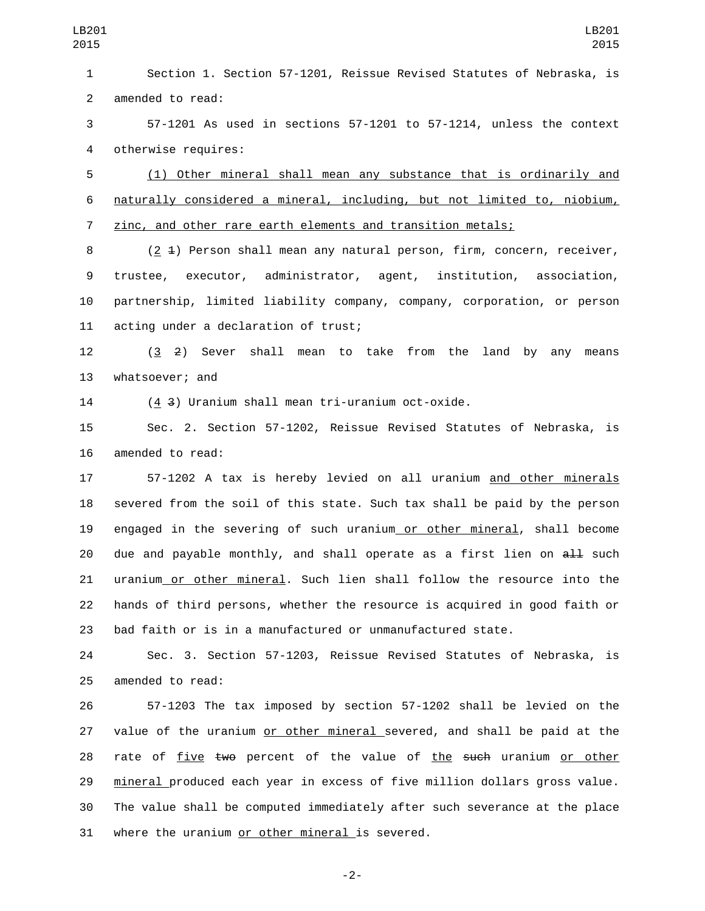Section 1. Section 57-1201, Reissue Revised Statutes of Nebraska, is 2 amended to read:

 57-1201 As used in sections 57-1201 to 57-1214, unless the context 4 otherwise requires:

 (1) Other mineral shall mean any substance that is ordinarily and naturally considered a mineral, including, but not limited to, niobium, zinc, and other rare earth elements and transition metals;

8 (2 4) Person shall mean any natural person, firm, concern, receiver, trustee, executor, administrator, agent, institution, association, partnership, limited liability company, company, corporation, or person 11 acting under a declaration of trust;

 (3 2) Sever shall mean to take from the land by any means 13 whatsoever; and

(4 3) Uranium shall mean tri-uranium oct-oxide.

 Sec. 2. Section 57-1202, Reissue Revised Statutes of Nebraska, is 16 amended to read:

 57-1202 A tax is hereby levied on all uranium and other minerals severed from the soil of this state. Such tax shall be paid by the person engaged in the severing of such uranium or other mineral, shall become 20 due and payable monthly, and shall operate as a first lien on  $aH$  such uranium or other mineral. Such lien shall follow the resource into the hands of third persons, whether the resource is acquired in good faith or bad faith or is in a manufactured or unmanufactured state.

 Sec. 3. Section 57-1203, Reissue Revised Statutes of Nebraska, is 25 amended to read:

 57-1203 The tax imposed by section 57-1202 shall be levied on the value of the uranium or other mineral severed, and shall be paid at the 28 rate of five two percent of the value of the such uranium or other mineral produced each year in excess of five million dollars gross value. The value shall be computed immediately after such severance at the place 31 where the uranium or other mineral is severed.

-2-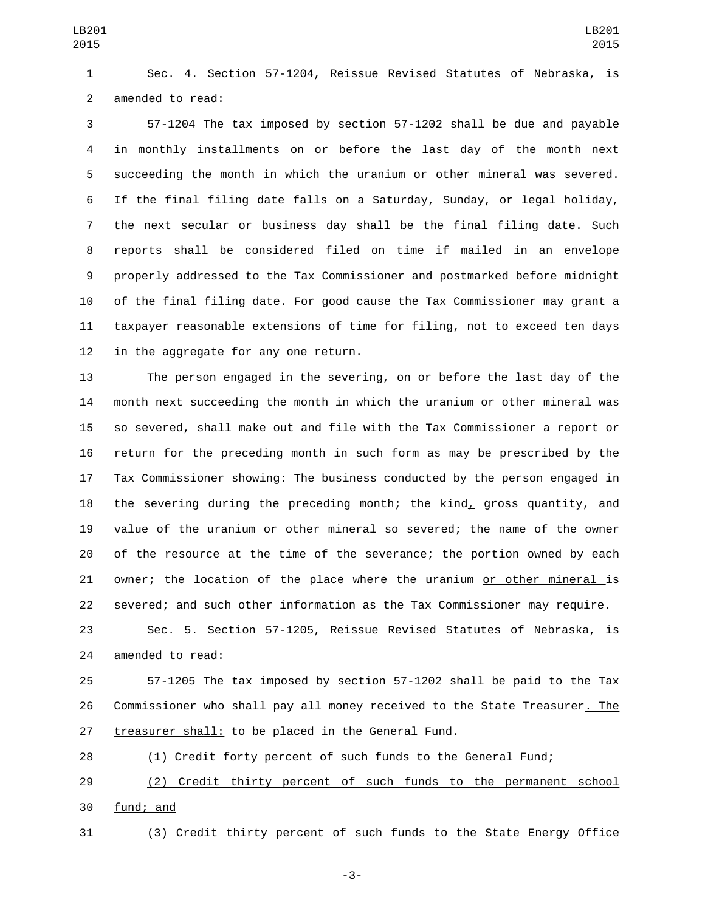Sec. 4. Section 57-1204, Reissue Revised Statutes of Nebraska, is 2 amended to read:

 57-1204 The tax imposed by section 57-1202 shall be due and payable in monthly installments on or before the last day of the month next succeeding the month in which the uranium or other mineral was severed. If the final filing date falls on a Saturday, Sunday, or legal holiday, the next secular or business day shall be the final filing date. Such reports shall be considered filed on time if mailed in an envelope properly addressed to the Tax Commissioner and postmarked before midnight of the final filing date. For good cause the Tax Commissioner may grant a taxpayer reasonable extensions of time for filing, not to exceed ten days in the aggregate for any one return.

 The person engaged in the severing, on or before the last day of the month next succeeding the month in which the uranium or other mineral was so severed, shall make out and file with the Tax Commissioner a report or return for the preceding month in such form as may be prescribed by the Tax Commissioner showing: The business conducted by the person engaged in 18 the severing during the preceding month; the kind, gross quantity, and 19 value of the uranium or other mineral so severed; the name of the owner of the resource at the time of the severance; the portion owned by each owner; the location of the place where the uranium or other mineral is severed; and such other information as the Tax Commissioner may require.

 Sec. 5. Section 57-1205, Reissue Revised Statutes of Nebraska, is 24 amended to read:

 57-1205 The tax imposed by section 57-1202 shall be paid to the Tax Commissioner who shall pay all money received to the State Treasurer. The 27 treasurer shall: to be placed in the General Fund.

(1) Credit forty percent of such funds to the General Fund;

 (2) Credit thirty percent of such funds to the permanent school 30 fund; and

(3) Credit thirty percent of such funds to the State Energy Office

-3-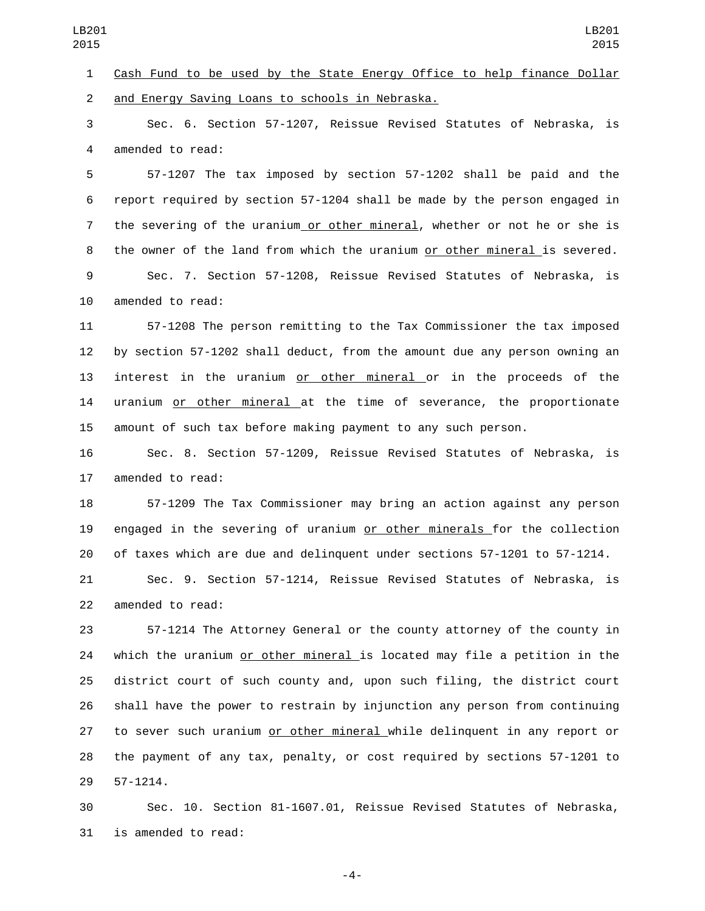and Energy Saving Loans to schools in Nebraska.2

 Sec. 6. Section 57-1207, Reissue Revised Statutes of Nebraska, is 4 amended to read:

 57-1207 The tax imposed by section 57-1202 shall be paid and the report required by section 57-1204 shall be made by the person engaged in 7 the severing of the uranium or other mineral, whether or not he or she is the owner of the land from which the uranium or other mineral is severed.

 Sec. 7. Section 57-1208, Reissue Revised Statutes of Nebraska, is 10 amended to read:

 57-1208 The person remitting to the Tax Commissioner the tax imposed by section 57-1202 shall deduct, from the amount due any person owning an 13 interest in the uranium or other mineral or in the proceeds of the uranium or other mineral at the time of severance, the proportionate amount of such tax before making payment to any such person.

 Sec. 8. Section 57-1209, Reissue Revised Statutes of Nebraska, is 17 amended to read:

 57-1209 The Tax Commissioner may bring an action against any person engaged in the severing of uranium or other minerals for the collection of taxes which are due and delinquent under sections 57-1201 to 57-1214.

 Sec. 9. Section 57-1214, Reissue Revised Statutes of Nebraska, is 22 amended to read:

 57-1214 The Attorney General or the county attorney of the county in 24 which the uranium or other mineral is located may file a petition in the district court of such county and, upon such filing, the district court shall have the power to restrain by injunction any person from continuing to sever such uranium or other mineral while delinquent in any report or the payment of any tax, penalty, or cost required by sections 57-1201 to 57-1214.29

 Sec. 10. Section 81-1607.01, Reissue Revised Statutes of Nebraska, 31 is amended to read:

-4-